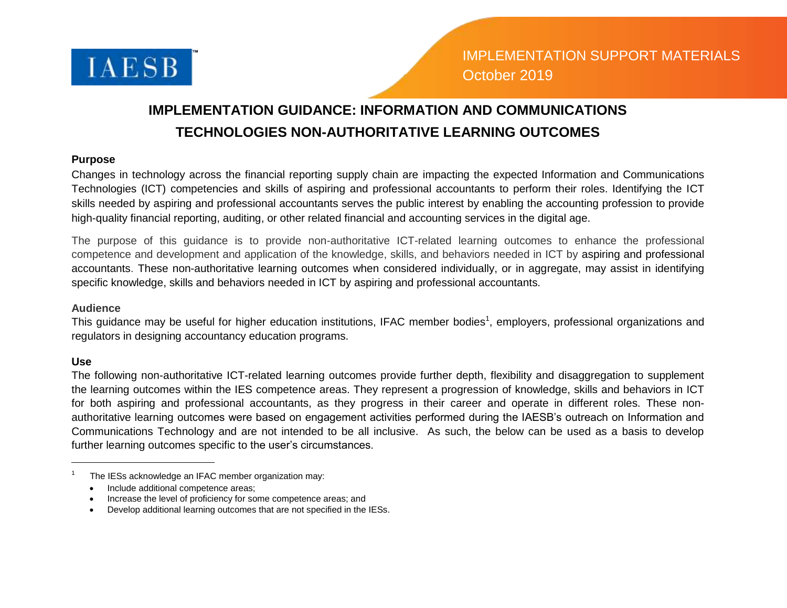

## **IMPLEMENTATION GUIDANCE: INFORMATION AND COMMUNICATIONS TECHNOLOGIES NON-AUTHORITATIVE LEARNING OUTCOMES**

## **Purpose**

Changes in technology across the financial reporting supply chain are impacting the expected Information and Communications Technologies (ICT) competencies and skills of aspiring and professional accountants to perform their roles. Identifying the ICT skills needed by aspiring and professional accountants serves the public interest by enabling the accounting profession to provide high-quality financial reporting, auditing, or other related financial and accounting services in the digital age.

The purpose of this guidance is to provide non-authoritative ICT-related learning outcomes to enhance the professional competence and development and application of the knowledge, skills, and behaviors needed in ICT by aspiring and professional accountants. These non-authoritative learning outcomes when considered individually, or in aggregate, may assist in identifying specific knowledge, skills and behaviors needed in ICT by aspiring and professional accountants.

## **Audience**

This guidance may be useful for higher education institutions, IFAC member bodies<sup>1</sup>, employers, professional organizations and regulators in designing accountancy education programs.

## **Use**

 $\overline{a}$ 

The following non-authoritative ICT-related learning outcomes provide further depth, flexibility and disaggregation to supplement the learning outcomes within the IES competence areas. They represent a progression of knowledge, skills and behaviors in ICT for both aspiring and professional accountants, as they progress in their career and operate in different roles. These nonauthoritative learning outcomes were based on engagement activities performed during the IAESB's outreach on Information and Communications Technology and are not intended to be all inclusive. As such, the below can be used as a basis to develop further learning outcomes specific to the user's circumstances.

- Include additional competence areas:
- Increase the level of proficiency for some competence areas; and
- Develop additional learning outcomes that are not specified in the IESs.

<sup>1</sup> The IESs acknowledge an IFAC member organization may: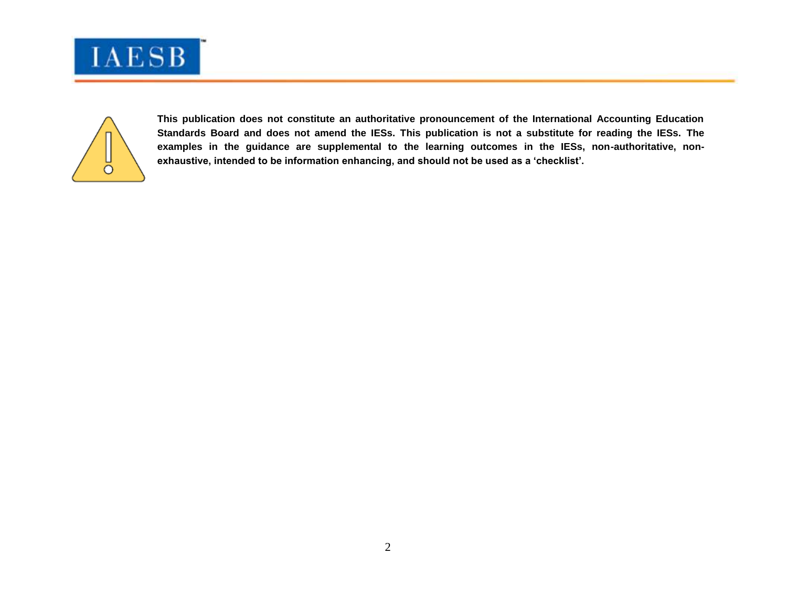



**This publication does not constitute an authoritative pronouncement of the International Accounting Education Standards Board and does not amend the IESs. This publication is not a substitute for reading the IESs. The examples in the guidance are supplemental to the learning outcomes in the IESs, non-authoritative, nonexhaustive, intended to be information enhancing, and should not be used as a 'checklist'.**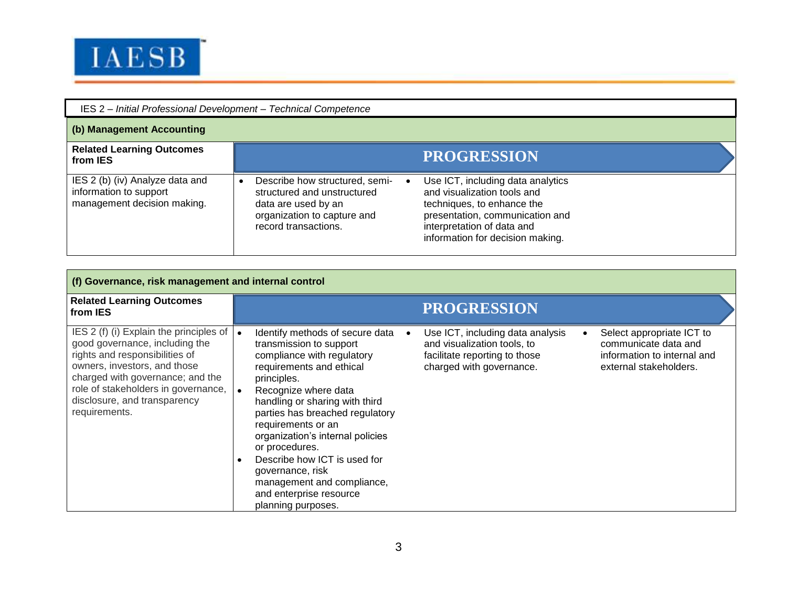

| IES 2 - Initial Professional Development - Technical Competence                          |                                                                                                                                                                                                                                                                                                                                                    |  |
|------------------------------------------------------------------------------------------|----------------------------------------------------------------------------------------------------------------------------------------------------------------------------------------------------------------------------------------------------------------------------------------------------------------------------------------------------|--|
| (b) Management Accounting                                                                |                                                                                                                                                                                                                                                                                                                                                    |  |
| <b>Related Learning Outcomes</b><br>from IES                                             | <b>PROGRESSION</b>                                                                                                                                                                                                                                                                                                                                 |  |
| IES 2 (b) (iv) Analyze data and<br>information to support<br>management decision making. | Use ICT, including data analytics<br>Describe how structured, semi-<br>and visualization tools and<br>structured and unstructured<br>techniques, to enhance the<br>data are used by an<br>organization to capture and<br>presentation, communication and<br>record transactions.<br>interpretation of data and<br>information for decision making. |  |

| (f) Governance, risk management and internal control                                                                                                                                                                                                                        |                                                                                                                                                                                                                                                                                                                                                                                                                                                                                                                                                                                                                                                                                                            |  |  |
|-----------------------------------------------------------------------------------------------------------------------------------------------------------------------------------------------------------------------------------------------------------------------------|------------------------------------------------------------------------------------------------------------------------------------------------------------------------------------------------------------------------------------------------------------------------------------------------------------------------------------------------------------------------------------------------------------------------------------------------------------------------------------------------------------------------------------------------------------------------------------------------------------------------------------------------------------------------------------------------------------|--|--|
| <b>Related Learning Outcomes</b><br>from IES                                                                                                                                                                                                                                | <b>PROGRESSION</b>                                                                                                                                                                                                                                                                                                                                                                                                                                                                                                                                                                                                                                                                                         |  |  |
| IES 2 (f) (i) Explain the principles of $ $<br>good governance, including the<br>rights and responsibilities of<br>owners, investors, and those<br>charged with governance; and the<br>role of stakeholders in governance,<br>disclosure, and transparency<br>requirements. | Identify methods of secure data<br>Use ICT, including data analysis<br>Select appropriate ICT to<br>$\bullet$<br>and visualization tools, to<br>communicate data and<br>transmission to support<br>compliance with regulatory<br>facilitate reporting to those<br>information to internal and<br>charged with governance.<br>requirements and ethical<br>external stakeholders.<br>principles.<br>Recognize where data<br>handling or sharing with third<br>parties has breached regulatory<br>requirements or an<br>organization's internal policies<br>or procedures.<br>Describe how ICT is used for<br>governance, risk<br>management and compliance,<br>and enterprise resource<br>planning purposes. |  |  |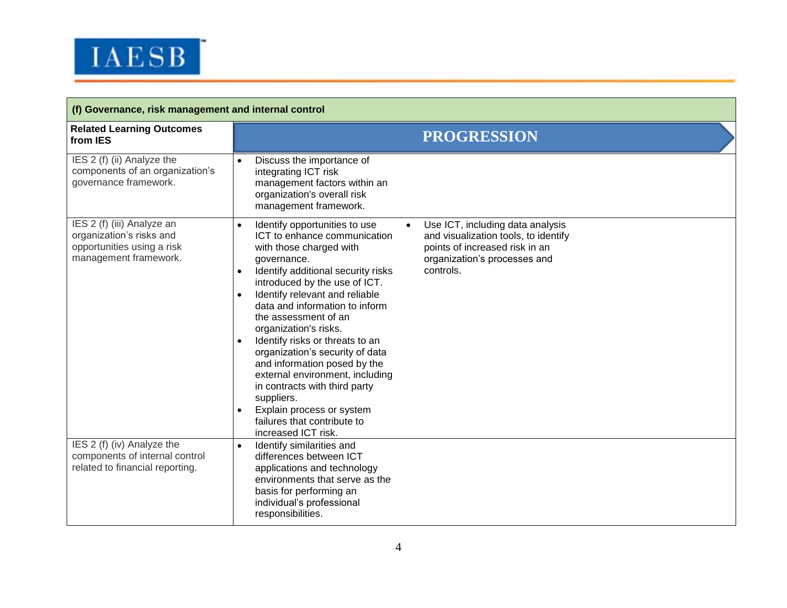

| (f) Governance, risk management and internal control                                                          |                                                                                                                                                                                                                                                                                                                                                                                                                                                                                                                                                                                                                                                                                                                                                                                                            |  |  |
|---------------------------------------------------------------------------------------------------------------|------------------------------------------------------------------------------------------------------------------------------------------------------------------------------------------------------------------------------------------------------------------------------------------------------------------------------------------------------------------------------------------------------------------------------------------------------------------------------------------------------------------------------------------------------------------------------------------------------------------------------------------------------------------------------------------------------------------------------------------------------------------------------------------------------------|--|--|
| <b>Related Learning Outcomes</b><br>from IES                                                                  | <b>PROGRESSION</b>                                                                                                                                                                                                                                                                                                                                                                                                                                                                                                                                                                                                                                                                                                                                                                                         |  |  |
| IES 2 (f) (ii) Analyze the<br>components of an organization's<br>governance framework.                        | Discuss the importance of<br>$\bullet$<br>integrating ICT risk<br>management factors within an<br>organization's overall risk<br>management framework.                                                                                                                                                                                                                                                                                                                                                                                                                                                                                                                                                                                                                                                     |  |  |
| IES 2 (f) (iii) Analyze an<br>organization's risks and<br>opportunities using a risk<br>management framework. | Identify opportunities to use<br>Use ICT, including data analysis<br>$\bullet$<br>ICT to enhance communication<br>and visualization tools, to identify<br>points of increased risk in an<br>with those charged with<br>organization's processes and<br>governance.<br>controls.<br>Identify additional security risks<br>$\bullet$<br>introduced by the use of ICT.<br>Identify relevant and reliable<br>$\bullet$<br>data and information to inform<br>the assessment of an<br>organization's risks.<br>Identify risks or threats to an<br>$\bullet$<br>organization's security of data<br>and information posed by the<br>external environment, including<br>in contracts with third party<br>suppliers.<br>Explain process or system<br>$\bullet$<br>failures that contribute to<br>increased ICT risk. |  |  |
| IES 2 (f) (iv) Analyze the<br>components of internal control<br>related to financial reporting.               | Identify similarities and<br>differences between ICT<br>applications and technology<br>environments that serve as the<br>basis for performing an<br>individual's professional<br>responsibilities.                                                                                                                                                                                                                                                                                                                                                                                                                                                                                                                                                                                                         |  |  |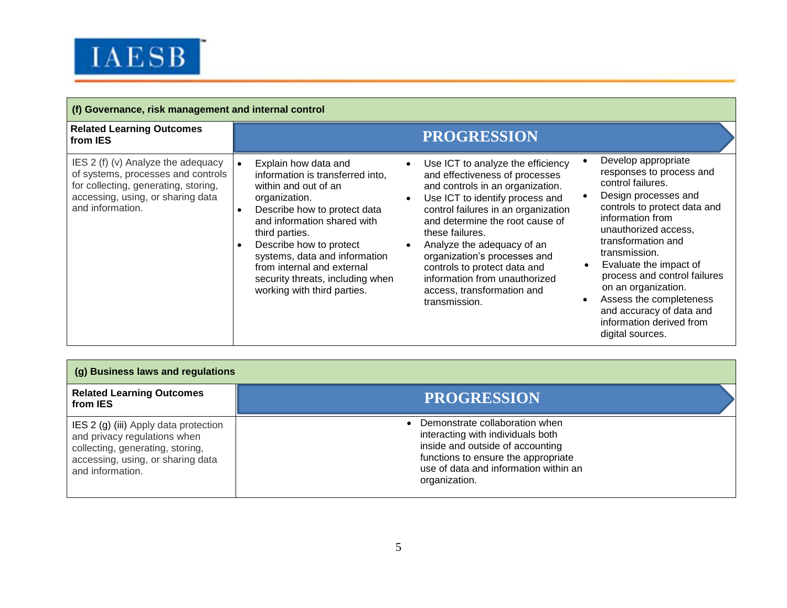

| (f) Governance, risk management and internal control                                                                                                                      |                                                                                                                                                                                                                                                                                                                                                 |                                                                                                                                                                                                                                                                                                                                                                                                                       |                                                                                                                                                                                                                                                                                                                                                                                                         |
|---------------------------------------------------------------------------------------------------------------------------------------------------------------------------|-------------------------------------------------------------------------------------------------------------------------------------------------------------------------------------------------------------------------------------------------------------------------------------------------------------------------------------------------|-----------------------------------------------------------------------------------------------------------------------------------------------------------------------------------------------------------------------------------------------------------------------------------------------------------------------------------------------------------------------------------------------------------------------|---------------------------------------------------------------------------------------------------------------------------------------------------------------------------------------------------------------------------------------------------------------------------------------------------------------------------------------------------------------------------------------------------------|
| <b>Related Learning Outcomes</b><br>from IES                                                                                                                              |                                                                                                                                                                                                                                                                                                                                                 | <b>PROGRESSION</b>                                                                                                                                                                                                                                                                                                                                                                                                    |                                                                                                                                                                                                                                                                                                                                                                                                         |
| IES 2 (f) (v) Analyze the adequacy<br>of systems, processes and controls<br>for collecting, generating, storing,<br>accessing, using, or sharing data<br>and information. | Explain how data and<br>information is transferred into,<br>within and out of an<br>organization.<br>Describe how to protect data<br>and information shared with<br>third parties.<br>Describe how to protect<br>systems, data and information<br>from internal and external<br>security threats, including when<br>working with third parties. | Use ICT to analyze the efficiency<br>and effectiveness of processes<br>and controls in an organization.<br>Use ICT to identify process and<br>control failures in an organization<br>and determine the root cause of<br>these failures.<br>Analyze the adequacy of an<br>organization's processes and<br>controls to protect data and<br>information from unauthorized<br>access, transformation and<br>transmission. | Develop appropriate<br>responses to process and<br>control failures.<br>Design processes and<br>controls to protect data and<br>information from<br>unauthorized access,<br>transformation and<br>transmission.<br>Evaluate the impact of<br>process and control failures<br>on an organization.<br>Assess the completeness<br>and accuracy of data and<br>information derived from<br>digital sources. |

| (g) Business laws and regulations                                                                                                                                  |                                                                                                                                                                                                          |  |
|--------------------------------------------------------------------------------------------------------------------------------------------------------------------|----------------------------------------------------------------------------------------------------------------------------------------------------------------------------------------------------------|--|
| <b>Related Learning Outcomes</b><br>from IES                                                                                                                       | <b>PROGRESSION</b>                                                                                                                                                                                       |  |
| IES 2 (g) (iii) Apply data protection<br>and privacy regulations when<br>collecting, generating, storing,<br>accessing, using, or sharing data<br>and information. | Demonstrate collaboration when<br>interacting with individuals both<br>inside and outside of accounting<br>functions to ensure the appropriate<br>use of data and information within an<br>organization. |  |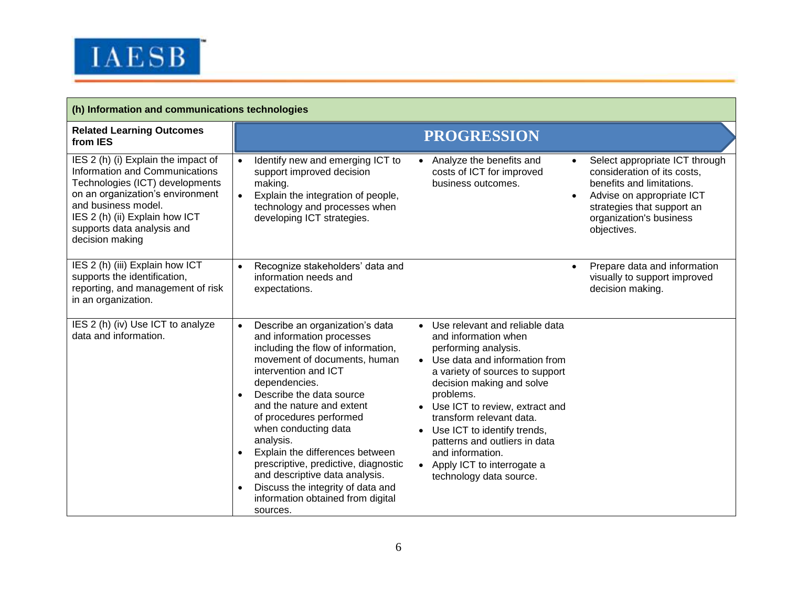

| (h) Information and communications technologies                                                                                                                                                                                                        |                                                                                                                                                                                                                                                                                                                                                                                                                                                                                                                                                                                                                                                                                                                                                                                                                                                                                                                                                                            |                                                                                                                                                                                                              |
|--------------------------------------------------------------------------------------------------------------------------------------------------------------------------------------------------------------------------------------------------------|----------------------------------------------------------------------------------------------------------------------------------------------------------------------------------------------------------------------------------------------------------------------------------------------------------------------------------------------------------------------------------------------------------------------------------------------------------------------------------------------------------------------------------------------------------------------------------------------------------------------------------------------------------------------------------------------------------------------------------------------------------------------------------------------------------------------------------------------------------------------------------------------------------------------------------------------------------------------------|--------------------------------------------------------------------------------------------------------------------------------------------------------------------------------------------------------------|
| <b>Related Learning Outcomes</b><br>from IES                                                                                                                                                                                                           | <b>PROGRESSION</b>                                                                                                                                                                                                                                                                                                                                                                                                                                                                                                                                                                                                                                                                                                                                                                                                                                                                                                                                                         |                                                                                                                                                                                                              |
| IES 2 (h) (i) Explain the impact of<br>Information and Communications<br>Technologies (ICT) developments<br>on an organization's environment<br>and business model.<br>IES 2 (h) (ii) Explain how ICT<br>supports data analysis and<br>decision making | Identify new and emerging ICT to<br>• Analyze the benefits and<br>$\bullet$<br>support improved decision<br>costs of ICT for improved<br>business outcomes.<br>making.<br>Explain the integration of people,<br>technology and processes when<br>developing ICT strategies.                                                                                                                                                                                                                                                                                                                                                                                                                                                                                                                                                                                                                                                                                                | Select appropriate ICT through<br>$\bullet$<br>consideration of its costs,<br>benefits and limitations.<br>Advise on appropriate ICT<br>strategies that support an<br>organization's business<br>objectives. |
| IES 2 (h) (iii) Explain how ICT<br>supports the identification,<br>reporting, and management of risk<br>in an organization.                                                                                                                            | Recognize stakeholders' data and<br>information needs and<br>expectations.                                                                                                                                                                                                                                                                                                                                                                                                                                                                                                                                                                                                                                                                                                                                                                                                                                                                                                 | Prepare data and information<br>$\bullet$<br>visually to support improved<br>decision making.                                                                                                                |
| IES 2 (h) (iv) Use ICT to analyze<br>data and information.                                                                                                                                                                                             | Use relevant and reliable data<br>Describe an organization's data<br>$\bullet$<br>$\bullet$<br>and information processes<br>and information when<br>including the flow of information,<br>performing analysis.<br>movement of documents, human<br>• Use data and information from<br>intervention and ICT<br>a variety of sources to support<br>dependencies.<br>decision making and solve<br>Describe the data source<br>problems.<br>and the nature and extent<br>Use ICT to review, extract and<br>of procedures performed<br>transform relevant data.<br>when conducting data<br>Use ICT to identify trends,<br>analysis.<br>patterns and outliers in data<br>Explain the differences between<br>and information.<br>$\bullet$<br>prescriptive, predictive, diagnostic<br>• Apply ICT to interrogate a<br>and descriptive data analysis.<br>technology data source.<br>Discuss the integrity of data and<br>$\bullet$<br>information obtained from digital<br>sources. |                                                                                                                                                                                                              |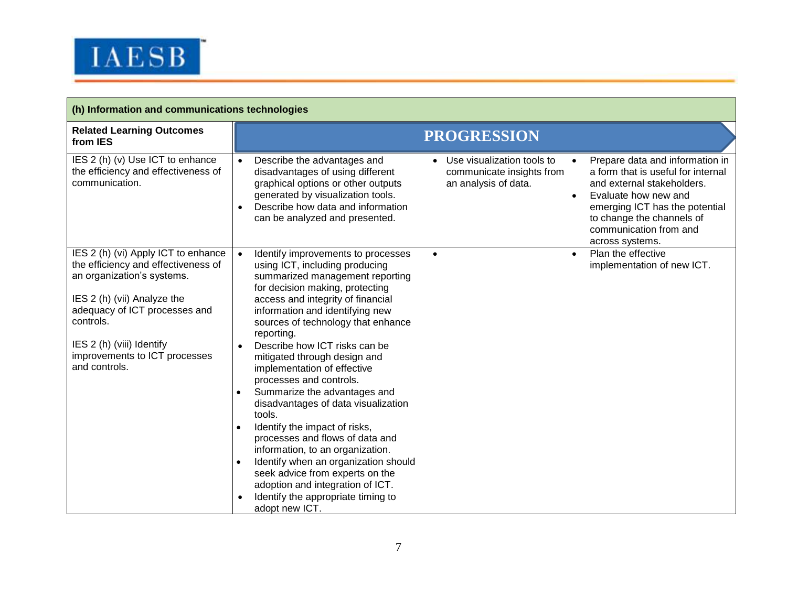

| (h) Information and communications technologies                                                                                                                                                                                                                      |                                                                                                                                                                                                                                                                                                                                                                                                                                                                                                                                                                                                                                                                                                                                                                                                                                                                           |  |  |
|----------------------------------------------------------------------------------------------------------------------------------------------------------------------------------------------------------------------------------------------------------------------|---------------------------------------------------------------------------------------------------------------------------------------------------------------------------------------------------------------------------------------------------------------------------------------------------------------------------------------------------------------------------------------------------------------------------------------------------------------------------------------------------------------------------------------------------------------------------------------------------------------------------------------------------------------------------------------------------------------------------------------------------------------------------------------------------------------------------------------------------------------------------|--|--|
| <b>Related Learning Outcomes</b><br>from IES                                                                                                                                                                                                                         | <b>PROGRESSION</b>                                                                                                                                                                                                                                                                                                                                                                                                                                                                                                                                                                                                                                                                                                                                                                                                                                                        |  |  |
| IES 2 (h) (v) Use ICT to enhance<br>the efficiency and effectiveness of<br>communication.                                                                                                                                                                            | • Use visualization tools to<br>Describe the advantages and<br>Prepare data and information in<br>$\bullet$<br>disadvantages of using different<br>communicate insights from<br>a form that is useful for internal<br>graphical options or other outputs<br>an analysis of data.<br>and external stakeholders.<br>generated by visualization tools.<br>Evaluate how new and<br>$\bullet$<br>Describe how data and information<br>emerging ICT has the potential<br>to change the channels of<br>can be analyzed and presented.<br>communication from and<br>across systems.                                                                                                                                                                                                                                                                                               |  |  |
| IES 2 (h) (vi) Apply ICT to enhance<br>the efficiency and effectiveness of<br>an organization's systems.<br>IES 2 (h) (vii) Analyze the<br>adequacy of ICT processes and<br>controls.<br>IES 2 (h) (viii) Identify<br>improvements to ICT processes<br>and controls. | Identify improvements to processes<br>Plan the effective<br>$\bullet$<br>$\bullet$<br>$\bullet$<br>using ICT, including producing<br>implementation of new ICT.<br>summarized management reporting<br>for decision making, protecting<br>access and integrity of financial<br>information and identifying new<br>sources of technology that enhance<br>reporting.<br>Describe how ICT risks can be<br>mitigated through design and<br>implementation of effective<br>processes and controls.<br>Summarize the advantages and<br>disadvantages of data visualization<br>tools.<br>Identify the impact of risks,<br>processes and flows of data and<br>information, to an organization.<br>Identify when an organization should<br>$\bullet$<br>seek advice from experts on the<br>adoption and integration of ICT.<br>Identify the appropriate timing to<br>adopt new ICT. |  |  |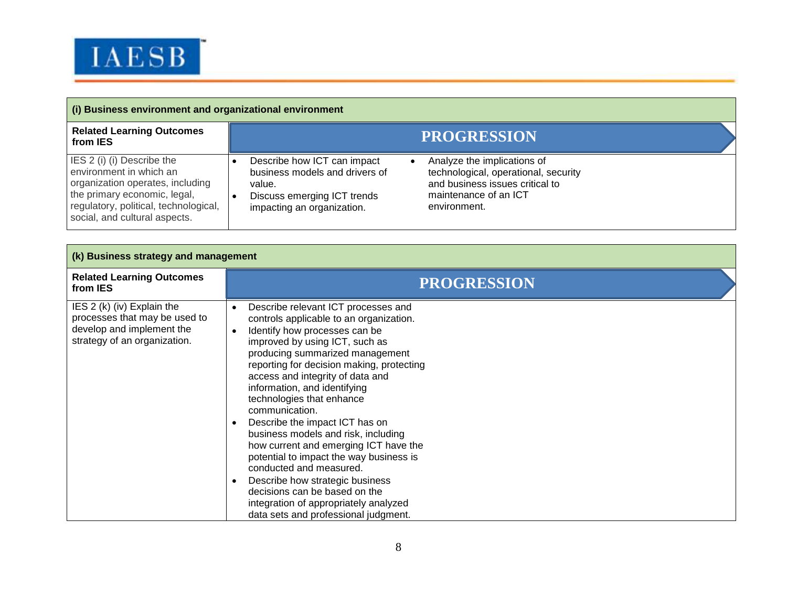

| (i) Business environment and organizational environment                                                                                                                                             |                                                                                                                                                                                                                                                                                         |  |
|-----------------------------------------------------------------------------------------------------------------------------------------------------------------------------------------------------|-----------------------------------------------------------------------------------------------------------------------------------------------------------------------------------------------------------------------------------------------------------------------------------------|--|
| <b>Related Learning Outcomes</b><br>from IES                                                                                                                                                        | <b>PROGRESSION</b>                                                                                                                                                                                                                                                                      |  |
| IES 2 (i) (i) Describe the<br>environment in which an<br>organization operates, including<br>the primary economic, legal,<br>regulatory, political, technological,<br>social, and cultural aspects. | Describe how ICT can impact<br>Analyze the implications of<br>business models and drivers of<br>technological, operational, security<br>and business issues critical to<br>value.<br>maintenance of an ICT<br>Discuss emerging ICT trends<br>environment.<br>impacting an organization. |  |

| (k) Business strategy and management                                                                                     |                                                                                                                                                                                                                                                                                                                                                                                                                                                                                                                                                                                                                                                                                                   |  |  |
|--------------------------------------------------------------------------------------------------------------------------|---------------------------------------------------------------------------------------------------------------------------------------------------------------------------------------------------------------------------------------------------------------------------------------------------------------------------------------------------------------------------------------------------------------------------------------------------------------------------------------------------------------------------------------------------------------------------------------------------------------------------------------------------------------------------------------------------|--|--|
| <b>Related Learning Outcomes</b><br>from IES                                                                             | <b>PROGRESSION</b>                                                                                                                                                                                                                                                                                                                                                                                                                                                                                                                                                                                                                                                                                |  |  |
| IES 2 (k) (iv) Explain the<br>processes that may be used to<br>develop and implement the<br>strategy of an organization. | Describe relevant ICT processes and<br>controls applicable to an organization.<br>Identify how processes can be<br>improved by using ICT, such as<br>producing summarized management<br>reporting for decision making, protecting<br>access and integrity of data and<br>information, and identifying<br>technologies that enhance<br>communication.<br>Describe the impact ICT has on<br>business models and risk, including<br>how current and emerging ICT have the<br>potential to impact the way business is<br>conducted and measured.<br>Describe how strategic business<br>decisions can be based on the<br>integration of appropriately analyzed<br>data sets and professional judgment. |  |  |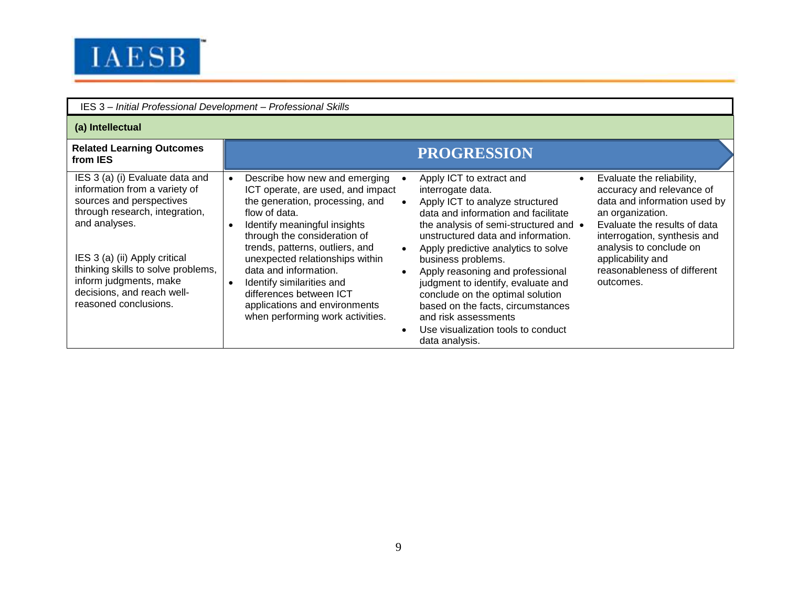

| IES 3 - Initial Professional Development - Professional Skills                                                                                                                                                                                                                                          |                                                                                                                                                                                                                                                                                                                                                                                                                                                           |                                                                                                                                                                                                                                                                                                                                                                                                                                                                                                                                                                                                                                                                                                                                                                                               |
|---------------------------------------------------------------------------------------------------------------------------------------------------------------------------------------------------------------------------------------------------------------------------------------------------------|-----------------------------------------------------------------------------------------------------------------------------------------------------------------------------------------------------------------------------------------------------------------------------------------------------------------------------------------------------------------------------------------------------------------------------------------------------------|-----------------------------------------------------------------------------------------------------------------------------------------------------------------------------------------------------------------------------------------------------------------------------------------------------------------------------------------------------------------------------------------------------------------------------------------------------------------------------------------------------------------------------------------------------------------------------------------------------------------------------------------------------------------------------------------------------------------------------------------------------------------------------------------------|
| (a) Intellectual                                                                                                                                                                                                                                                                                        |                                                                                                                                                                                                                                                                                                                                                                                                                                                           |                                                                                                                                                                                                                                                                                                                                                                                                                                                                                                                                                                                                                                                                                                                                                                                               |
| <b>Related Learning Outcomes</b><br>from IES                                                                                                                                                                                                                                                            |                                                                                                                                                                                                                                                                                                                                                                                                                                                           | <b>PROGRESSION</b>                                                                                                                                                                                                                                                                                                                                                                                                                                                                                                                                                                                                                                                                                                                                                                            |
| IES 3 (a) (i) Evaluate data and<br>information from a variety of<br>sources and perspectives<br>through research, integration,<br>and analyses.<br>IES 3 (a) (ii) Apply critical<br>thinking skills to solve problems,<br>inform judgments, make<br>decisions, and reach well-<br>reasoned conclusions. | Describe how new and emerging<br>$\bullet$<br>ICT operate, are used, and impact<br>the generation, processing, and<br>flow of data.<br>Identify meaningful insights<br>$\bullet$<br>through the consideration of<br>trends, patterns, outliers, and<br>unexpected relationships within<br>data and information.<br>Identify similarities and<br>$\bullet$<br>differences between ICT<br>applications and environments<br>when performing work activities. | Apply ICT to extract and<br>Evaluate the reliability,<br>$\bullet$<br>accuracy and relevance of<br>interrogate data.<br>data and information used by<br>Apply ICT to analyze structured<br>data and information and facilitate<br>an organization.<br>the analysis of semi-structured and •<br>Evaluate the results of data<br>unstructured data and information.<br>interrogation, synthesis and<br>analysis to conclude on<br>Apply predictive analytics to solve<br>applicability and<br>business problems.<br>reasonableness of different<br>Apply reasoning and professional<br>judgment to identify, evaluate and<br>outcomes.<br>conclude on the optimal solution<br>based on the facts, circumstances<br>and risk assessments<br>Use visualization tools to conduct<br>data analysis. |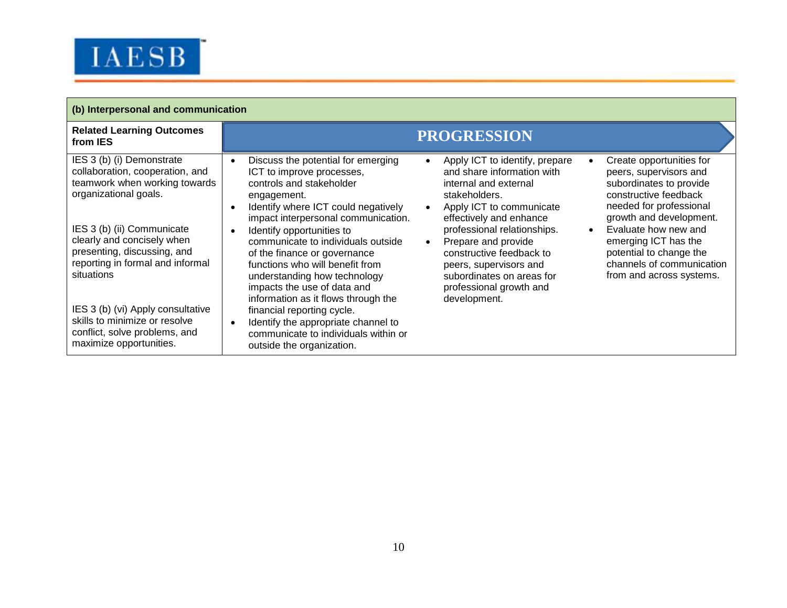

Г

| (b) Interpersonal and communication                                                                                                                                                                                                                                                                                                                                                                   |                                                                                                                                                                                                                                                                                                                                                                                                                                                                                                                                                                                                                                                                                                                                                                                                                                                                                                                                                                                                                                                                                                                                                                                                                                                                                                                                    |  |
|-------------------------------------------------------------------------------------------------------------------------------------------------------------------------------------------------------------------------------------------------------------------------------------------------------------------------------------------------------------------------------------------------------|------------------------------------------------------------------------------------------------------------------------------------------------------------------------------------------------------------------------------------------------------------------------------------------------------------------------------------------------------------------------------------------------------------------------------------------------------------------------------------------------------------------------------------------------------------------------------------------------------------------------------------------------------------------------------------------------------------------------------------------------------------------------------------------------------------------------------------------------------------------------------------------------------------------------------------------------------------------------------------------------------------------------------------------------------------------------------------------------------------------------------------------------------------------------------------------------------------------------------------------------------------------------------------------------------------------------------------|--|
| <b>Related Learning Outcomes</b><br>from IES                                                                                                                                                                                                                                                                                                                                                          | <b>PROGRESSION</b>                                                                                                                                                                                                                                                                                                                                                                                                                                                                                                                                                                                                                                                                                                                                                                                                                                                                                                                                                                                                                                                                                                                                                                                                                                                                                                                 |  |
| IES 3 (b) (i) Demonstrate<br>collaboration, cooperation, and<br>teamwork when working towards<br>organizational goals.<br>IES 3 (b) (ii) Communicate<br>clearly and concisely when<br>presenting, discussing, and<br>reporting in formal and informal<br>situations<br>IES 3 (b) (vi) Apply consultative<br>skills to minimize or resolve<br>conflict, solve problems, and<br>maximize opportunities. | Discuss the potential for emerging<br>Create opportunities for<br>Apply ICT to identify, prepare<br>$\bullet$<br>and share information with<br>ICT to improve processes,<br>peers, supervisors and<br>controls and stakeholder<br>subordinates to provide<br>internal and external<br>constructive feedback<br>stakeholders.<br>engagement.<br>needed for professional<br>Identify where ICT could negatively<br>Apply ICT to communicate<br>$\bullet$<br>$\bullet$<br>growth and development.<br>impact interpersonal communication.<br>effectively and enhance<br>Evaluate how new and<br>professional relationships.<br>Identify opportunities to<br>$\bullet$<br>$\bullet$<br>emerging ICT has the<br>Prepare and provide<br>communicate to individuals outside<br>$\bullet$<br>potential to change the<br>constructive feedback to<br>of the finance or governance<br>channels of communication<br>functions who will benefit from<br>peers, supervisors and<br>from and across systems.<br>subordinates on areas for<br>understanding how technology<br>impacts the use of data and<br>professional growth and<br>information as it flows through the<br>development.<br>financial reporting cycle.<br>Identify the appropriate channel to<br>$\bullet$<br>communicate to individuals within or<br>outside the organization. |  |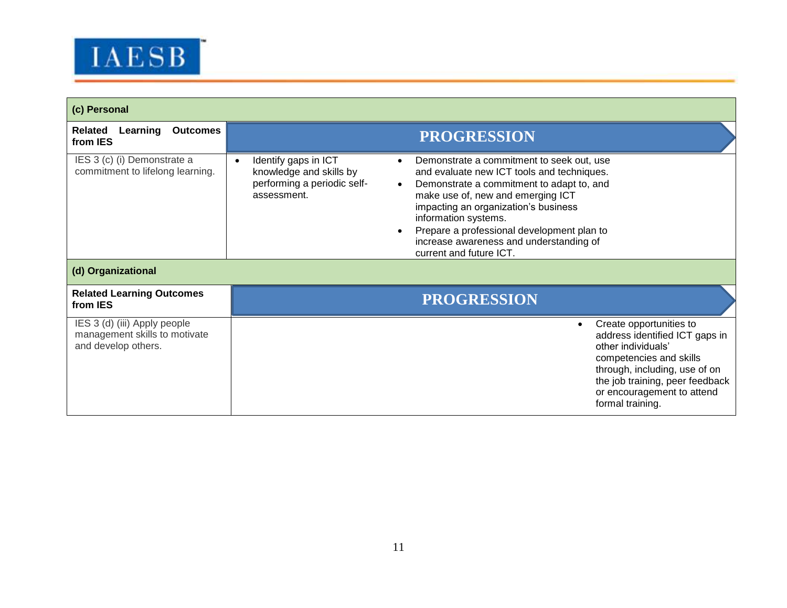

| (c) Personal                                                                          |                                                                                                                                                                                                                                                                                                                                                                                                                                                                             |  |
|---------------------------------------------------------------------------------------|-----------------------------------------------------------------------------------------------------------------------------------------------------------------------------------------------------------------------------------------------------------------------------------------------------------------------------------------------------------------------------------------------------------------------------------------------------------------------------|--|
| <b>Outcomes</b><br>Related<br>Learning<br>from IES                                    | <b>PROGRESSION</b>                                                                                                                                                                                                                                                                                                                                                                                                                                                          |  |
| IES 3 (c) (i) Demonstrate a<br>commitment to lifelong learning.<br>(d) Organizational | Identify gaps in ICT<br>Demonstrate a commitment to seek out, use<br>$\bullet$<br>knowledge and skills by<br>and evaluate new ICT tools and techniques.<br>performing a periodic self-<br>Demonstrate a commitment to adapt to, and<br>assessment.<br>make use of, new and emerging ICT<br>impacting an organization's business<br>information systems.<br>Prepare a professional development plan to<br>increase awareness and understanding of<br>current and future ICT. |  |
| <b>Related Learning Outcomes</b><br>from IES                                          | <b>PROGRESSION</b>                                                                                                                                                                                                                                                                                                                                                                                                                                                          |  |
| IES 3 (d) (iii) Apply people<br>management skills to motivate<br>and develop others.  | Create opportunities to<br>$\bullet$<br>address identified ICT gaps in<br>other individuals'<br>competencies and skills<br>through, including, use of on<br>the job training, peer feedback<br>or encouragement to attend<br>formal training.                                                                                                                                                                                                                               |  |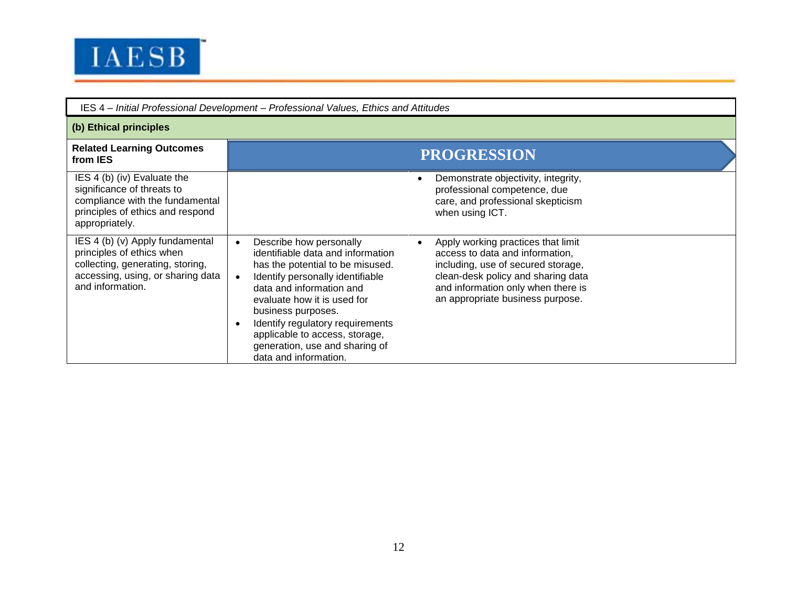

| IES 4 - Initial Professional Development - Professional Values, Ethics and Attitudes                                                                      |                                                                                                                                                                                                                                                                                                                                                                                                                                                                                                                                                                                       |  |  |
|-----------------------------------------------------------------------------------------------------------------------------------------------------------|---------------------------------------------------------------------------------------------------------------------------------------------------------------------------------------------------------------------------------------------------------------------------------------------------------------------------------------------------------------------------------------------------------------------------------------------------------------------------------------------------------------------------------------------------------------------------------------|--|--|
| (b) Ethical principles                                                                                                                                    |                                                                                                                                                                                                                                                                                                                                                                                                                                                                                                                                                                                       |  |  |
| <b>Related Learning Outcomes</b><br>from IES                                                                                                              | <b>PROGRESSION</b>                                                                                                                                                                                                                                                                                                                                                                                                                                                                                                                                                                    |  |  |
| IES 4 (b) (iv) Evaluate the<br>significance of threats to<br>compliance with the fundamental<br>principles of ethics and respond<br>appropriately.        | Demonstrate objectivity, integrity,<br>professional competence, due<br>care, and professional skepticism<br>when using ICT.                                                                                                                                                                                                                                                                                                                                                                                                                                                           |  |  |
| IES 4 (b) (v) Apply fundamental<br>principles of ethics when<br>collecting, generating, storing,<br>accessing, using, or sharing data<br>and information. | Describe how personally<br>Apply working practices that limit<br>identifiable data and information<br>access to data and information,<br>has the potential to be misused.<br>including, use of secured storage,<br>clean-desk policy and sharing data<br>Identify personally identifiable<br>and information only when there is<br>data and information and<br>an appropriate business purpose.<br>evaluate how it is used for<br>business purposes.<br>Identify regulatory requirements<br>applicable to access, storage,<br>generation, use and sharing of<br>data and information. |  |  |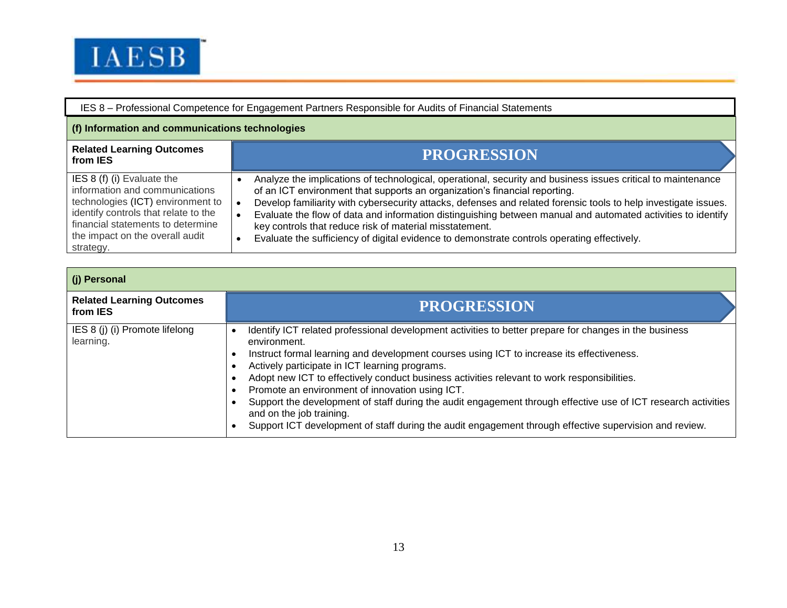

| IES 8 – Professional Competence for Engagement Partners Responsible for Audits of Financial Statements                                                                                                                         |                                                                                                                                                                                                                                                                                                                                                                                                                                                                                                                                                                                         |  |
|--------------------------------------------------------------------------------------------------------------------------------------------------------------------------------------------------------------------------------|-----------------------------------------------------------------------------------------------------------------------------------------------------------------------------------------------------------------------------------------------------------------------------------------------------------------------------------------------------------------------------------------------------------------------------------------------------------------------------------------------------------------------------------------------------------------------------------------|--|
| (f) Information and communications technologies                                                                                                                                                                                |                                                                                                                                                                                                                                                                                                                                                                                                                                                                                                                                                                                         |  |
| <b>Related Learning Outcomes</b><br>from <b>IES</b>                                                                                                                                                                            | <b>PROGRESSION</b>                                                                                                                                                                                                                                                                                                                                                                                                                                                                                                                                                                      |  |
| IES 8 (f) (i) Evaluate the<br>information and communications<br>technologies (ICT) environment to<br>identify controls that relate to the<br>financial statements to determine<br>the impact on the overall audit<br>strategy. | Analyze the implications of technological, operational, security and business issues critical to maintenance<br>of an ICT environment that supports an organization's financial reporting.<br>Develop familiarity with cybersecurity attacks, defenses and related forensic tools to help investigate issues.<br>Evaluate the flow of data and information distinguishing between manual and automated activities to identify<br>key controls that reduce risk of material misstatement.<br>Evaluate the sufficiency of digital evidence to demonstrate controls operating effectively. |  |

| (j) Personal                                 |                                                                                                                                                                                                                                                                                                                                                                                                                                                                                                                                                                                                                                                                                          |  |
|----------------------------------------------|------------------------------------------------------------------------------------------------------------------------------------------------------------------------------------------------------------------------------------------------------------------------------------------------------------------------------------------------------------------------------------------------------------------------------------------------------------------------------------------------------------------------------------------------------------------------------------------------------------------------------------------------------------------------------------------|--|
| <b>Related Learning Outcomes</b><br>from IES | <b>PROGRESSION</b>                                                                                                                                                                                                                                                                                                                                                                                                                                                                                                                                                                                                                                                                       |  |
| IES 8 (j) (i) Promote lifelong<br>learning.  | Identify ICT related professional development activities to better prepare for changes in the business<br>environment.<br>Instruct formal learning and development courses using ICT to increase its effectiveness.<br>٠<br>Actively participate in ICT learning programs.<br>Adopt new ICT to effectively conduct business activities relevant to work responsibilities.<br>Promote an environment of innovation using ICT.<br>Support the development of staff during the audit engagement through effective use of ICT research activities<br>and on the job training.<br>Support ICT development of staff during the audit engagement through effective supervision and review.<br>٠ |  |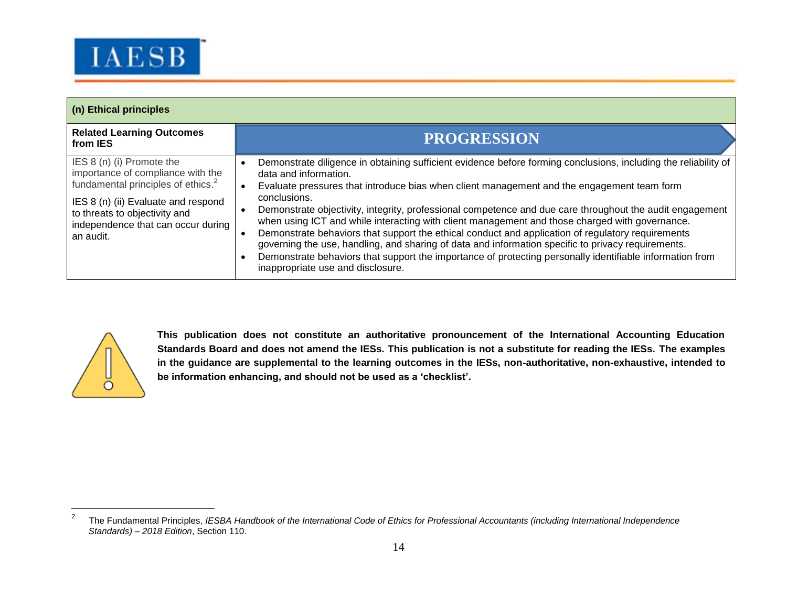

| (n) Ethical principles                                                                                                                                                                                                                      |                                                                                                                                                                                                                                                                                                                                                                                                                                                                                                                                                                                                                                                                                                                                                                                                                                  |  |
|---------------------------------------------------------------------------------------------------------------------------------------------------------------------------------------------------------------------------------------------|----------------------------------------------------------------------------------------------------------------------------------------------------------------------------------------------------------------------------------------------------------------------------------------------------------------------------------------------------------------------------------------------------------------------------------------------------------------------------------------------------------------------------------------------------------------------------------------------------------------------------------------------------------------------------------------------------------------------------------------------------------------------------------------------------------------------------------|--|
| <b>Related Learning Outcomes</b><br>from IES                                                                                                                                                                                                | <b>PROGRESSION</b>                                                                                                                                                                                                                                                                                                                                                                                                                                                                                                                                                                                                                                                                                                                                                                                                               |  |
| IES 8 (n) (i) Promote the<br>importance of compliance with the<br>fundamental principles of ethics. <sup>2</sup><br>IES 8 (n) (ii) Evaluate and respond<br>to threats to objectivity and<br>independence that can occur during<br>an audit. | Demonstrate diligence in obtaining sufficient evidence before forming conclusions, including the reliability of<br>data and information.<br>Evaluate pressures that introduce bias when client management and the engagement team form<br>conclusions.<br>Demonstrate objectivity, integrity, professional competence and due care throughout the audit engagement<br>when using ICT and while interacting with client management and those charged with governance.<br>Demonstrate behaviors that support the ethical conduct and application of regulatory requirements<br>governing the use, handling, and sharing of data and information specific to privacy requirements.<br>Demonstrate behaviors that support the importance of protecting personally identifiable information from<br>inappropriate use and disclosure. |  |



 $\overline{a}$ 

**This publication does not constitute an authoritative pronouncement of the International Accounting Education Standards Board and does not amend the IESs. This publication is not a substitute for reading the IESs. The examples in the guidance are supplemental to the learning outcomes in the IESs, non-authoritative, non-exhaustive, intended to be information enhancing, and should not be used as a 'checklist'.** 

<sup>2</sup> The Fundamental Principles, *IESBA Handbook of the International Code of Ethics for Professional Accountants (including International Independence Standards) – 2018 Edition*, Section 110.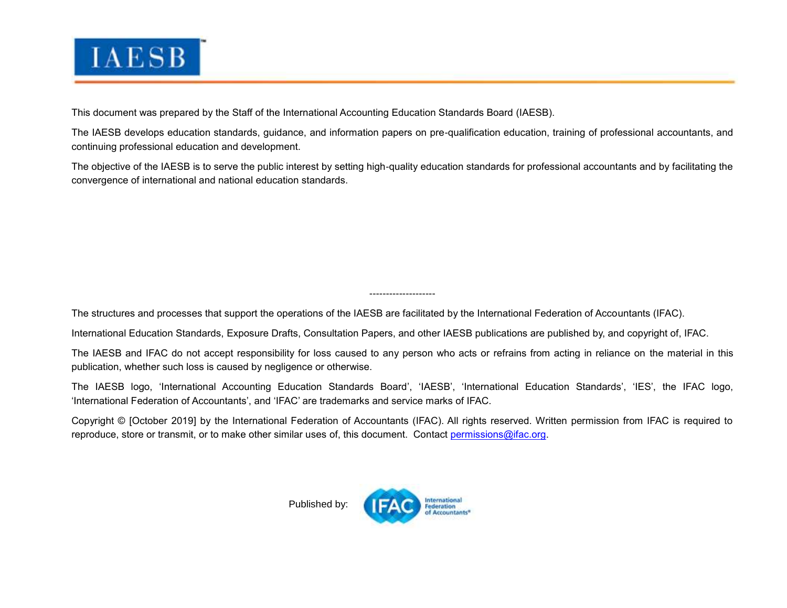

This document was prepared by the Staff of the International Accounting Education Standards Board (IAESB).

The [IAESB](http://www.ifac.org/Education/) develops education standards, guidance, and information papers on pre-qualification education, training of professional accountants, and continuing professional education and development.

The objective of the IAESB is to serve the public interest by setting high-quality education standards for professional accountants and by facilitating the convergence of international and national education standards.

The structures and processes that support the operations of the IAESB are facilitated by the International Federation of Accountants (IFAC).

International Education Standards, Exposure Drafts, Consultation Papers, and other IAESB publications are published by, and copyright of, IFAC.

The IAESB and IFAC do not accept responsibility for loss caused to any person who acts or refrains from acting in reliance on the material in this publication, whether such loss is caused by negligence or otherwise.

--------------------

The IAESB logo, 'International Accounting Education Standards Board', 'IAESB', 'International Education Standards', 'IES', the IFAC logo, 'International Federation of Accountants', and 'IFAC' are trademarks and service marks of IFAC.

Copyright © [October 2019] by the International Federation of Accountants (IFAC). All rights reserved. Written permission from IFAC is required to reproduce, store or transmit, or to make other similar uses of, this document. Contact [permissions@ifac.org.](mailto:permissions@ifac.org)